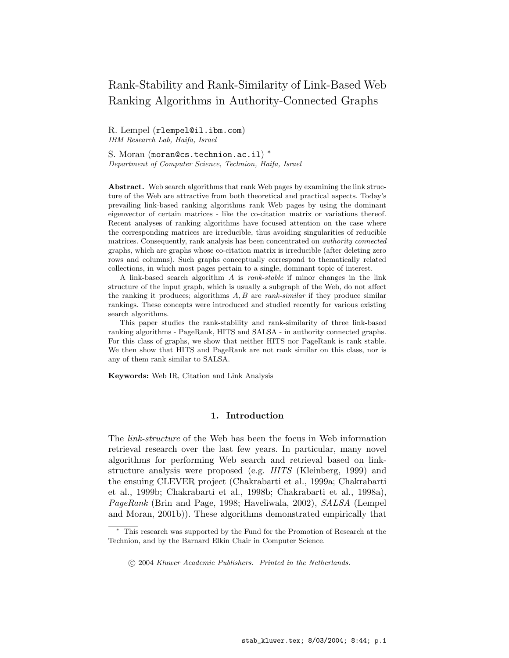# Rank-Stability and Rank-Similarity of Link-Based Web Ranking Algorithms in Authority-Connected Graphs

R. Lempel (rlempel@il.ibm.com) IBM Research Lab, Haifa, Israel

S. Moran (moran@cs.technion.ac.il) \* Department of Computer Science, Technion, Haifa, Israel

Abstract. Web search algorithms that rank Web pages by examining the link structure of the Web are attractive from both theoretical and practical aspects. Today's prevailing link-based ranking algorithms rank Web pages by using the dominant eigenvector of certain matrices - like the co-citation matrix or variations thereof. Recent analyses of ranking algorithms have focused attention on the case where the corresponding matrices are irreducible, thus avoiding singularities of reducible matrices. Consequently, rank analysis has been concentrated on *authority connected* graphs, which are graphs whose co-citation matrix is irreducible (after deleting zero rows and columns). Such graphs conceptually correspond to thematically related collections, in which most pages pertain to a single, dominant topic of interest.

A link-based search algorithm A is rank-stable if minor changes in the link structure of the input graph, which is usually a subgraph of the Web, do not affect the ranking it produces; algorithms  $A, B$  are *rank-similar* if they produce similar rankings. These concepts were introduced and studied recently for various existing search algorithms.

This paper studies the rank-stability and rank-similarity of three link-based ranking algorithms - PageRank, HITS and SALSA - in authority connected graphs. For this class of graphs, we show that neither HITS nor PageRank is rank stable. We then show that HITS and PageRank are not rank similar on this class, nor is any of them rank similar to SALSA.

Keywords: Web IR, Citation and Link Analysis

## 1. Introduction

The *link-structure* of the Web has been the focus in Web information retrieval research over the last few years. In particular, many novel algorithms for performing Web search and retrieval based on linkstructure analysis were proposed (e.g. HITS (Kleinberg, 1999) and the ensuing CLEVER project (Chakrabarti et al., 1999a; Chakrabarti et al., 1999b; Chakrabarti et al., 1998b; Chakrabarti et al., 1998a), PageRank (Brin and Page, 1998; Haveliwala, 2002), SALSA (Lempel and Moran, 2001b)). These algorithms demonstrated empirically that

This research was supported by the Fund for the Promotion of Research at the Technion, and by the Barnard Elkin Chair in Computer Science.

<sup>°</sup>c 2004 Kluwer Academic Publishers. Printed in the Netherlands.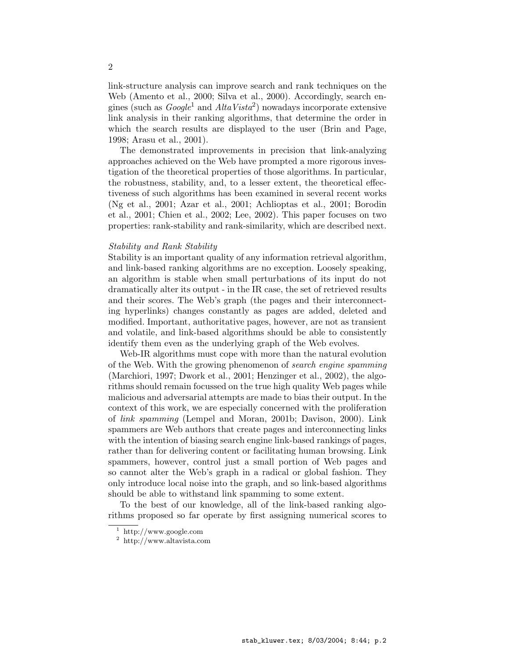link-structure analysis can improve search and rank techniques on the Web (Amento et al., 2000; Silva et al., 2000). Accordingly, search engines (such as  $Google<sup>1</sup>$  and  $AltaVista<sup>2</sup>)$  nowadays incorporate extensive link analysis in their ranking algorithms, that determine the order in which the search results are displayed to the user (Brin and Page, 1998; Arasu et al., 2001).

The demonstrated improvements in precision that link-analyzing approaches achieved on the Web have prompted a more rigorous investigation of the theoretical properties of those algorithms. In particular, the robustness, stability, and, to a lesser extent, the theoretical effectiveness of such algorithms has been examined in several recent works (Ng et al., 2001; Azar et al., 2001; Achlioptas et al., 2001; Borodin et al., 2001; Chien et al., 2002; Lee, 2002). This paper focuses on two properties: rank-stability and rank-similarity, which are described next.

# Stability and Rank Stability

Stability is an important quality of any information retrieval algorithm, and link-based ranking algorithms are no exception. Loosely speaking, an algorithm is stable when small perturbations of its input do not dramatically alter its output - in the IR case, the set of retrieved results and their scores. The Web's graph (the pages and their interconnecting hyperlinks) changes constantly as pages are added, deleted and modified. Important, authoritative pages, however, are not as transient and volatile, and link-based algorithms should be able to consistently identify them even as the underlying graph of the Web evolves.

Web-IR algorithms must cope with more than the natural evolution of the Web. With the growing phenomenon of search engine spamming (Marchiori, 1997; Dwork et al., 2001; Henzinger et al., 2002), the algorithms should remain focussed on the true high quality Web pages while malicious and adversarial attempts are made to bias their output. In the context of this work, we are especially concerned with the proliferation of link spamming (Lempel and Moran, 2001b; Davison, 2000). Link spammers are Web authors that create pages and interconnecting links with the intention of biasing search engine link-based rankings of pages, rather than for delivering content or facilitating human browsing. Link spammers, however, control just a small portion of Web pages and so cannot alter the Web's graph in a radical or global fashion. They only introduce local noise into the graph, and so link-based algorithms should be able to withstand link spamming to some extent.

To the best of our knowledge, all of the link-based ranking algorithms proposed so far operate by first assigning numerical scores to

<sup>1</sup> http://www.google.com

<sup>2</sup> http://www.altavista.com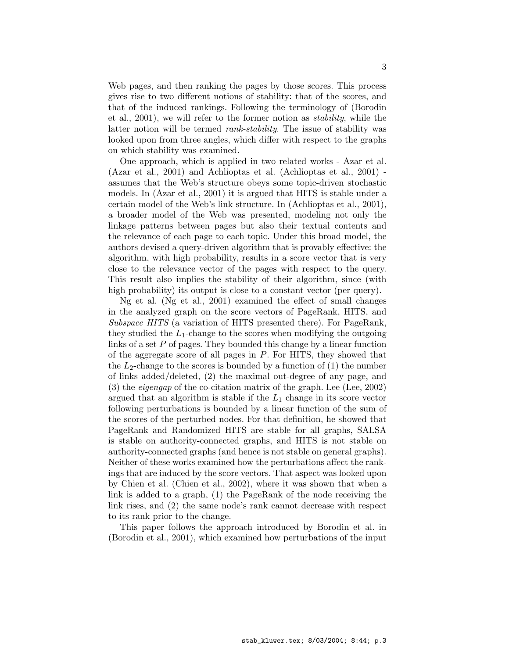Web pages, and then ranking the pages by those scores. This process gives rise to two different notions of stability: that of the scores, and that of the induced rankings. Following the terminology of (Borodin et al., 2001), we will refer to the former notion as stability, while the latter notion will be termed *rank-stability*. The issue of stability was looked upon from three angles, which differ with respect to the graphs on which stability was examined.

One approach, which is applied in two related works - Azar et al. (Azar et al., 2001) and Achlioptas et al. (Achlioptas et al., 2001) assumes that the Web's structure obeys some topic-driven stochastic models. In (Azar et al., 2001) it is argued that HITS is stable under a certain model of the Web's link structure. In (Achlioptas et al., 2001), a broader model of the Web was presented, modeling not only the linkage patterns between pages but also their textual contents and the relevance of each page to each topic. Under this broad model, the authors devised a query-driven algorithm that is provably effective: the algorithm, with high probability, results in a score vector that is very close to the relevance vector of the pages with respect to the query. This result also implies the stability of their algorithm, since (with high probability) its output is close to a constant vector (per query).

Ng et al. (Ng et al., 2001) examined the effect of small changes in the analyzed graph on the score vectors of PageRank, HITS, and Subspace HITS (a variation of HITS presented there). For PageRank, they studied the  $L_1$ -change to the scores when modifying the outgoing links of a set P of pages. They bounded this change by a linear function of the aggregate score of all pages in  $P$ . For HITS, they showed that the  $L_2$ -change to the scores is bounded by a function of  $(1)$  the number of links added/deleted, (2) the maximal out-degree of any page, and (3) the eigengap of the co-citation matrix of the graph. Lee (Lee, 2002) argued that an algorithm is stable if the  $L_1$  change in its score vector following perturbations is bounded by a linear function of the sum of the scores of the perturbed nodes. For that definition, he showed that PageRank and Randomized HITS are stable for all graphs, SALSA is stable on authority-connected graphs, and HITS is not stable on authority-connected graphs (and hence is not stable on general graphs). Neither of these works examined how the perturbations affect the rankings that are induced by the score vectors. That aspect was looked upon by Chien et al. (Chien et al., 2002), where it was shown that when a link is added to a graph, (1) the PageRank of the node receiving the link rises, and (2) the same node's rank cannot decrease with respect to its rank prior to the change.

This paper follows the approach introduced by Borodin et al. in (Borodin et al., 2001), which examined how perturbations of the input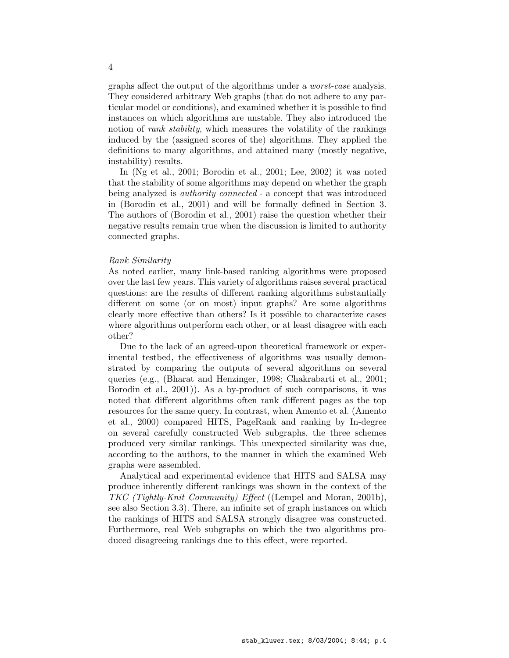graphs affect the output of the algorithms under a worst-case analysis. They considered arbitrary Web graphs (that do not adhere to any particular model or conditions), and examined whether it is possible to find instances on which algorithms are unstable. They also introduced the notion of *rank stability*, which measures the volatility of the rankings induced by the (assigned scores of the) algorithms. They applied the definitions to many algorithms, and attained many (mostly negative, instability) results.

In (Ng et al., 2001; Borodin et al., 2001; Lee, 2002) it was noted that the stability of some algorithms may depend on whether the graph being analyzed is *authority connected* - a concept that was introduced in (Borodin et al., 2001) and will be formally defined in Section 3. The authors of (Borodin et al., 2001) raise the question whether their negative results remain true when the discussion is limited to authority connected graphs.

## Rank Similarity

As noted earlier, many link-based ranking algorithms were proposed over the last few years. This variety of algorithms raises several practical questions: are the results of different ranking algorithms substantially different on some (or on most) input graphs? Are some algorithms clearly more effective than others? Is it possible to characterize cases where algorithms outperform each other, or at least disagree with each other?

Due to the lack of an agreed-upon theoretical framework or experimental testbed, the effectiveness of algorithms was usually demonstrated by comparing the outputs of several algorithms on several queries (e.g., (Bharat and Henzinger, 1998; Chakrabarti et al., 2001; Borodin et al., 2001)). As a by-product of such comparisons, it was noted that different algorithms often rank different pages as the top resources for the same query. In contrast, when Amento et al. (Amento et al., 2000) compared HITS, PageRank and ranking by In-degree on several carefully constructed Web subgraphs, the three schemes produced very similar rankings. This unexpected similarity was due, according to the authors, to the manner in which the examined Web graphs were assembled.

Analytical and experimental evidence that HITS and SALSA may produce inherently different rankings was shown in the context of the TKC (Tightly-Knit Community) Effect ((Lempel and Moran, 2001b), see also Section 3.3). There, an infinite set of graph instances on which the rankings of HITS and SALSA strongly disagree was constructed. Furthermore, real Web subgraphs on which the two algorithms produced disagreeing rankings due to this effect, were reported.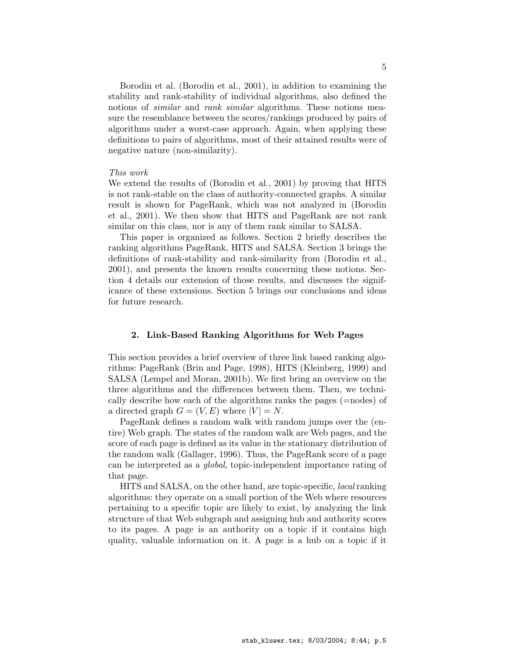Borodin et al. (Borodin et al., 2001), in addition to examining the stability and rank-stability of individual algorithms, also defined the notions of *similar* and *rank similar* algorithms. These notions measure the resemblance between the scores/rankings produced by pairs of algorithms under a worst-case approach. Again, when applying these definitions to pairs of algorithms, most of their attained results were of negative nature (non-similarity).

## This work

We extend the results of (Borodin et al., 2001) by proving that HITS is not rank-stable on the class of authority-connected graphs. A similar result is shown for PageRank, which was not analyzed in (Borodin et al., 2001). We then show that HITS and PageRank are not rank similar on this class, nor is any of them rank similar to SALSA.

This paper is organized as follows. Section 2 briefly describes the ranking algorithms PageRank, HITS and SALSA. Section 3 brings the definitions of rank-stability and rank-similarity from (Borodin et al., 2001), and presents the known results concerning these notions. Section 4 details our extension of those results, and discusses the significance of these extensions. Section 5 brings our conclusions and ideas for future research.

## 2. Link-Based Ranking Algorithms for Web Pages

This section provides a brief overview of three link based ranking algorithms: PageRank (Brin and Page, 1998), HITS (Kleinberg, 1999) and SALSA (Lempel and Moran, 2001b). We first bring an overview on the three algorithms and the differences between them. Then, we technically describe how each of the algorithms ranks the pages (=nodes) of a directed graph  $G = (V, E)$  where  $|V| = N$ .

PageRank defines a random walk with random jumps over the (entire) Web graph. The states of the random walk are Web pages, and the score of each page is defined as its value in the stationary distribution of the random walk (Gallager, 1996). Thus, the PageRank score of a page can be interpreted as a global, topic-independent importance rating of that page.

HITS and SALSA, on the other hand, are topic-specific, local ranking algorithms: they operate on a small portion of the Web where resources pertaining to a specific topic are likely to exist, by analyzing the link structure of that Web subgraph and assigning hub and authority scores to its pages. A page is an authority on a topic if it contains high quality, valuable information on it. A page is a hub on a topic if it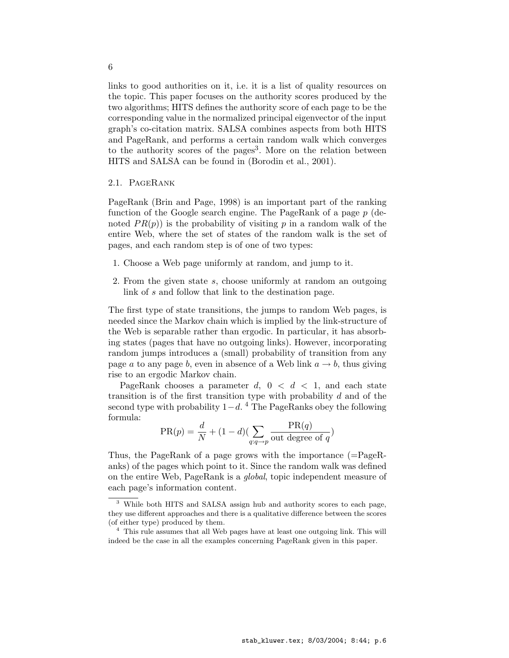links to good authorities on it, i.e. it is a list of quality resources on the topic. This paper focuses on the authority scores produced by the two algorithms; HITS defines the authority score of each page to be the corresponding value in the normalized principal eigenvector of the input graph's co-citation matrix. SALSA combines aspects from both HITS and PageRank, and performs a certain random walk which converges to the authority scores of the pages<sup>3</sup>. More on the relation between HITS and SALSA can be found in (Borodin et al., 2001).

# 2.1. PageRank

PageRank (Brin and Page, 1998) is an important part of the ranking function of the Google search engine. The PageRank of a page p (denoted  $PR(p)$  is the probability of visiting p in a random walk of the entire Web, where the set of states of the random walk is the set of pages, and each random step is of one of two types:

- 1. Choose a Web page uniformly at random, and jump to it.
- 2. From the given state s, choose uniformly at random an outgoing link of s and follow that link to the destination page.

The first type of state transitions, the jumps to random Web pages, is needed since the Markov chain which is implied by the link-structure of the Web is separable rather than ergodic. In particular, it has absorbing states (pages that have no outgoing links). However, incorporating random jumps introduces a (small) probability of transition from any page a to any page b, even in absence of a Web link  $a \to b$ , thus giving rise to an ergodic Markov chain.

PageRank chooses a parameter d,  $0 < d < 1$ , and each state transition is of the first transition type with probability  $d$  and of the second type with probability  $1-d<sup>4</sup>$  The PageRanks obey the following formula:

$$
PR(p) = \frac{d}{N} + (1 - d)\left(\sum_{q:q \to p} \frac{PR(q)}{\text{out degree of } q}\right)
$$

Thus, the PageRank of a page grows with the importance (=PageRanks) of the pages which point to it. Since the random walk was defined on the entire Web, PageRank is a global, topic independent measure of each page's information content.

6

<sup>3</sup> While both HITS and SALSA assign hub and authority scores to each page, they use different approaches and there is a qualitative difference between the scores (of either type) produced by them.

<sup>&</sup>lt;sup>4</sup> This rule assumes that all Web pages have at least one outgoing link. This will indeed be the case in all the examples concerning PageRank given in this paper.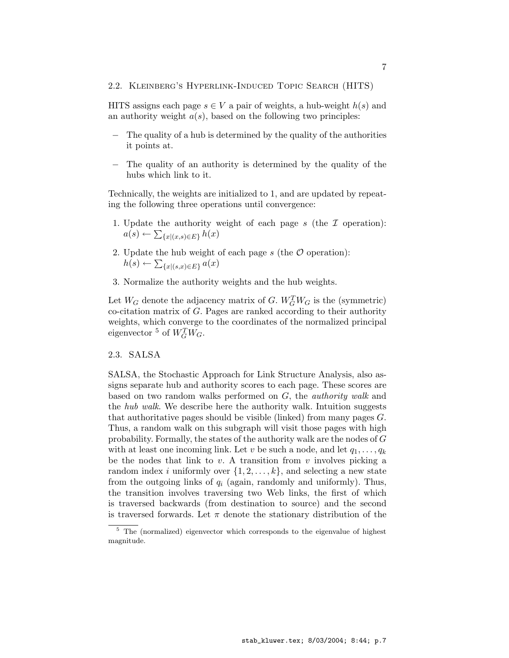#### 2.2. Kleinberg's Hyperlink-Induced Topic Search (HITS)

HITS assigns each page  $s \in V$  a pair of weights, a hub-weight  $h(s)$  and an authority weight  $a(s)$ , based on the following two principles:

- − The quality of a hub is determined by the quality of the authorities it points at.
- The quality of an authority is determined by the quality of the hubs which link to it.

Technically, the weights are initialized to 1, and are updated by repeating the following three operations until convergence:

- 1. Update the authority weight of each page s (the  $\mathcal I$  operation):  $a(s) \leftarrow \sum_{\{x \mid (x,s) \in E\}} h(x)$
- 2. Update the hub weight of each page s (the  $\mathcal O$  operation):  $h(s) \leftarrow \sum_{\{x \mid (s,x) \in E\}} a(x)$
- 3. Normalize the authority weights and the hub weights.

Let  $W_G$  denote the adjacency matrix of G.  $W_G^TW_G$  is the (symmetric)  $\alpha$ -citation matrix of G. Pages are ranked according to their authority weights, which converge to the coordinates of the normalized principal eigenvector <sup>5</sup> of  $W_G^TW_G$ .

## 2.3. SALSA

SALSA, the Stochastic Approach for Link Structure Analysis, also assigns separate hub and authority scores to each page. These scores are based on two random walks performed on G, the *authority walk* and the *hub walk*. We describe here the authority walk. Intuition suggests that authoritative pages should be visible (linked) from many pages  $G$ . Thus, a random walk on this subgraph will visit those pages with high probability. Formally, the states of the authority walk are the nodes of G with at least one incoming link. Let v be such a node, and let  $q_1, \ldots, q_k$ be the nodes that link to  $v$ . A transition from  $v$  involves picking a random index i uniformly over  $\{1, 2, \ldots, k\}$ , and selecting a new state from the outgoing links of  $q_i$  (again, randomly and uniformly). Thus, the transition involves traversing two Web links, the first of which is traversed backwards (from destination to source) and the second is traversed forwards. Let  $\pi$  denote the stationary distribution of the

<sup>5</sup> The (normalized) eigenvector which corresponds to the eigenvalue of highest magnitude.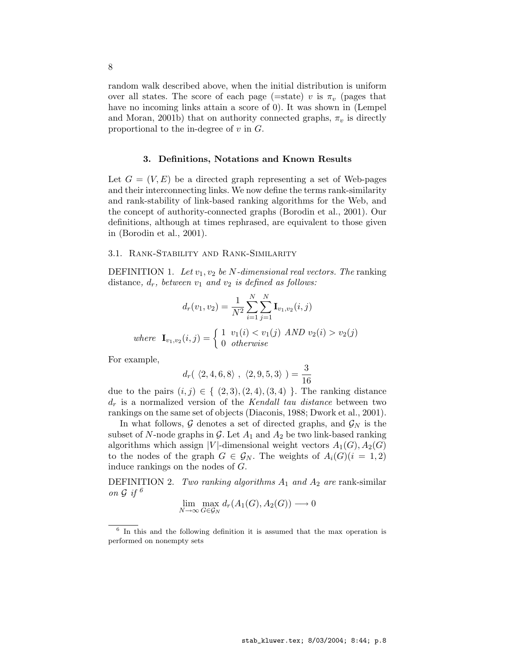random walk described above, when the initial distribution is uniform over all states. The score of each page (=state) v is  $\pi_v$  (pages that have no incoming links attain a score of 0). It was shown in (Lempel and Moran, 2001b) that on authority connected graphs,  $\pi_v$  is directly proportional to the in-degree of  $v$  in  $G$ .

## 3. Definitions, Notations and Known Results

Let  $G = (V, E)$  be a directed graph representing a set of Web-pages and their interconnecting links. We now define the terms rank-similarity and rank-stability of link-based ranking algorithms for the Web, and the concept of authority-connected graphs (Borodin et al., 2001). Our definitions, although at times rephrased, are equivalent to those given in (Borodin et al., 2001).

## 3.1. Rank-Stability and Rank-Similarity

DEFINITION 1. Let  $v_1, v_2$  be N-dimensional real vectors. The ranking distance,  $d_r$ , between  $v_1$  and  $v_2$  is defined as follows:

$$
d_r(v_1, v_2) = \frac{1}{N^2} \sum_{i=1}^{N} \sum_{j=1}^{N} \mathbf{I}_{v_1, v_2}(i, j)
$$

where  $\mathbf{I}_{v_1, v_2}(i, j) = \begin{cases} 1 & v_1(i) < v_1(j) \text{ AND } v_2(i) > v_2(j) \\ 0 & otherwise \end{cases}$ 0 otherwise

For example,

$$
d_r(\ \langle 2,4,6,8 \rangle\ ,\ \langle 2,9,5,3 \rangle\ )=\frac{3}{16}
$$

due to the pairs  $(i, j) \in \{ (2, 3), (2, 4), (3, 4) \}$ . The ranking distance  $d_r$  is a normalized version of the Kendall tau distance between two rankings on the same set of objects (Diaconis, 1988; Dwork et al., 2001).

In what follows,  $\mathcal G$  denotes a set of directed graphs, and  $\mathcal G_N$  is the subset of N-node graphs in G. Let  $A_1$  and  $A_2$  be two link-based ranking algorithms which assign |V|-dimensional weight vectors  $A_1(G), A_2(G)$ to the nodes of the graph  $G \in \mathcal{G}_N$ . The weights of  $A_i(G)(i = 1, 2)$ induce rankings on the nodes of G.

DEFINITION 2. Two ranking algorithms  $A_1$  and  $A_2$  are rank-similar on  $\mathcal G$  if  $^6$ 

$$
\lim_{N \to \infty} \max_{G \in \mathcal{G}_N} d_r(A_1(G), A_2(G)) \longrightarrow 0
$$

<sup>6</sup> In this and the following definition it is assumed that the max operation is performed on nonempty sets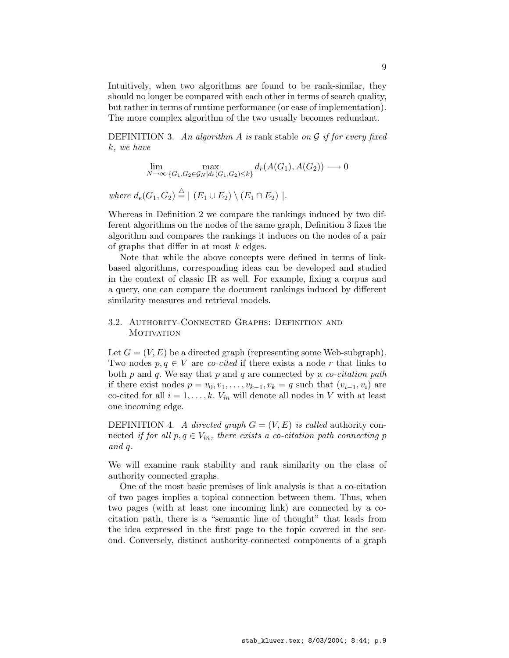Intuitively, when two algorithms are found to be rank-similar, they should no longer be compared with each other in terms of search quality, but rather in terms of runtime performance (or ease of implementation). The more complex algorithm of the two usually becomes redundant.

DEFINITION 3. An algorithm A is rank stable on  $\mathcal G$  if for every fixed k, we have

$$
\lim_{N \to \infty} \max_{\{G_1, G_2 \in \mathcal{G}_N | d_e(G_1, G_2) \le k\}} d_r(A(G_1), A(G_2)) \longrightarrow 0
$$

where  $d_e(G_1, G_2) \stackrel{\triangle}{=} | (E_1 \cup E_2) \setminus (E_1 \cap E_2) |$ .

Whereas in Definition 2 we compare the rankings induced by two different algorithms on the nodes of the same graph, Definition 3 fixes the algorithm and compares the rankings it induces on the nodes of a pair of graphs that differ in at most  $k$  edges.

Note that while the above concepts were defined in terms of linkbased algorithms, corresponding ideas can be developed and studied in the context of classic IR as well. For example, fixing a corpus and a query, one can compare the document rankings induced by different similarity measures and retrieval models.

# 3.2. Authority-Connected Graphs: Definition and **MOTIVATION**

Let  $G = (V, E)$  be a directed graph (representing some Web-subgraph). Two nodes  $p, q \in V$  are co-cited if there exists a node r that links to both  $p$  and  $q$ . We say that  $p$  and  $q$  are connected by a *co-citation path* if there exist nodes  $p = v_0, v_1, \ldots, v_{k-1}, v_k = q$  such that  $(v_{i-1}, v_i)$  are co-cited for all  $i = 1, ..., k$ .  $V_{in}$  will denote all nodes in V with at least one incoming edge.

DEFINITION 4. A directed graph  $G = (V, E)$  is called authority connected if for all  $p, q \in V_{in}$ , there exists a co-citation path connecting p and q.

We will examine rank stability and rank similarity on the class of authority connected graphs.

One of the most basic premises of link analysis is that a co-citation of two pages implies a topical connection between them. Thus, when two pages (with at least one incoming link) are connected by a cocitation path, there is a "semantic line of thought" that leads from the idea expressed in the first page to the topic covered in the second. Conversely, distinct authority-connected components of a graph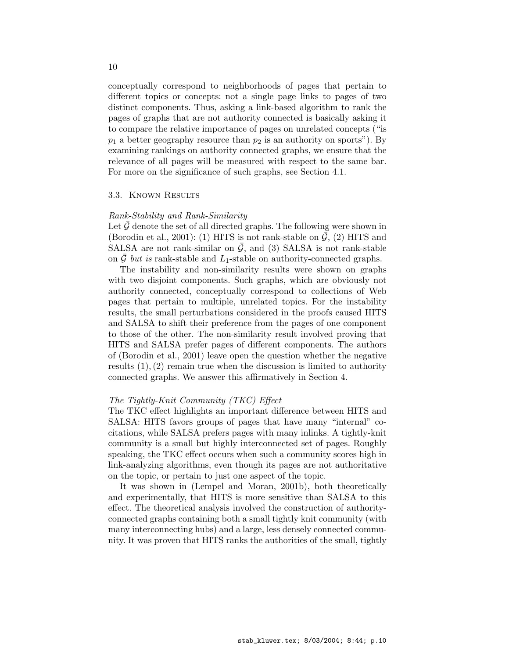conceptually correspond to neighborhoods of pages that pertain to different topics or concepts: not a single page links to pages of two distinct components. Thus, asking a link-based algorithm to rank the pages of graphs that are not authority connected is basically asking it to compare the relative importance of pages on unrelated concepts ("is  $p_1$  a better geography resource than  $p_2$  is an authority on sports"). By examining rankings on authority connected graphs, we ensure that the relevance of all pages will be measured with respect to the same bar. For more on the significance of such graphs, see Section 4.1.

#### 3.3. Known Results

#### Rank-Stability and Rank-Similarity

Let  $\mathcal G$  denote the set of all directed graphs. The following were shown in (Borodin et al., 2001): (1) HITS is not rank-stable on  $\bar{\mathcal{G}}$ , (2) HITS and SALSA are not rank-similar on  $G$ , and (3) SALSA is not rank-stable on  $\bar{\mathcal{G}}$  but is rank-stable and L<sub>1</sub>-stable on authority-connected graphs.

The instability and non-similarity results were shown on graphs with two disjoint components. Such graphs, which are obviously not authority connected, conceptually correspond to collections of Web pages that pertain to multiple, unrelated topics. For the instability results, the small perturbations considered in the proofs caused HITS and SALSA to shift their preference from the pages of one component to those of the other. The non-similarity result involved proving that HITS and SALSA prefer pages of different components. The authors of (Borodin et al., 2001) leave open the question whether the negative results  $(1), (2)$  remain true when the discussion is limited to authority connected graphs. We answer this affirmatively in Section 4.

## The Tightly-Knit Community (TKC) Effect

The TKC effect highlights an important difference between HITS and SALSA: HITS favors groups of pages that have many "internal" cocitations, while SALSA prefers pages with many inlinks. A tightly-knit community is a small but highly interconnected set of pages. Roughly speaking, the TKC effect occurs when such a community scores high in link-analyzing algorithms, even though its pages are not authoritative on the topic, or pertain to just one aspect of the topic.

It was shown in (Lempel and Moran, 2001b), both theoretically and experimentally, that HITS is more sensitive than SALSA to this effect. The theoretical analysis involved the construction of authorityconnected graphs containing both a small tightly knit community (with many interconnecting hubs) and a large, less densely connected community. It was proven that HITS ranks the authorities of the small, tightly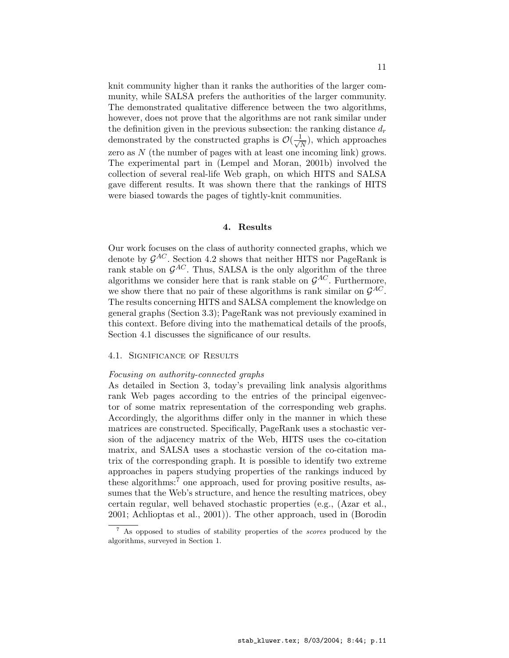knit community higher than it ranks the authorities of the larger community, while SALSA prefers the authorities of the larger community. The demonstrated qualitative difference between the two algorithms, however, does not prove that the algorithms are not rank similar under the definition given in the previous subsection: the ranking distance  $d_r$ demonstrated by the constructed graphs is  $\mathcal{O}(\frac{1}{\sqrt{2}})$  $\frac{1}{\overline{N}}$ , which approaches zero as  $N$  (the number of pages with at least one incoming link) grows. The experimental part in (Lempel and Moran, 2001b) involved the collection of several real-life Web graph, on which HITS and SALSA gave different results. It was shown there that the rankings of HITS were biased towards the pages of tightly-knit communities.

## 4. Results

Our work focuses on the class of authority connected graphs, which we denote by  $\mathcal{G}^{AC}$ . Section 4.2 shows that neither HITS nor PageRank is rank stable on  $\mathcal{G}^{AC}$ . Thus, SALSA is the only algorithm of the three algorithms we consider here that is rank stable on  $\mathcal{G}^{AC}$ . Furthermore, we show there that no pair of these algorithms is rank similar on  $\mathcal{G}^{AC}$ . The results concerning HITS and SALSA complement the knowledge on general graphs (Section 3.3); PageRank was not previously examined in this context. Before diving into the mathematical details of the proofs, Section 4.1 discusses the significance of our results.

# 4.1. Significance of Results

#### Focusing on authority-connected graphs

As detailed in Section 3, today's prevailing link analysis algorithms rank Web pages according to the entries of the principal eigenvector of some matrix representation of the corresponding web graphs. Accordingly, the algorithms differ only in the manner in which these matrices are constructed. Specifically, PageRank uses a stochastic version of the adjacency matrix of the Web, HITS uses the co-citation matrix, and SALSA uses a stochastic version of the co-citation matrix of the corresponding graph. It is possible to identify two extreme approaches in papers studying properties of the rankings induced by these algorithms:<sup>7</sup> one approach, used for proving positive results, assumes that the Web's structure, and hence the resulting matrices, obey certain regular, well behaved stochastic properties (e.g., (Azar et al., 2001; Achlioptas et al., 2001)). The other approach, used in (Borodin

 $^7$  As opposed to studies of stability properties of the *scores* produced by the algorithms, surveyed in Section 1.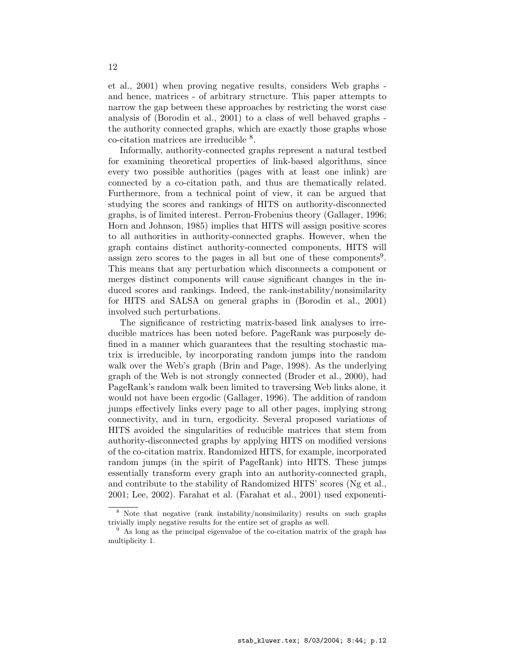et al., 2001) when proving negative results, considers Web graphs and hence, matrices - of arbitrary structure. This paper attempts to narrow the gap between these approaches by restricting the worst case analysis of (Borodin et al., 2001) to a class of well behaved graphs the authority connected graphs, which are exactly those graphs whose co-citation matrices are irreducible <sup>8</sup> .

Informally, authority-connected graphs represent a natural testbed for examining theoretical properties of link-based algorithms, since every two possible authorities (pages with at least one inlink) are connected by a co-citation path, and thus are thematically related. Furthermore, from a technical point of view, it can be argued that studying the scores and rankings of HITS on authority-disconnected graphs, is of limited interest. Perron-Frobenius theory (Gallager, 1996; Horn and Johnson, 1985) implies that HITS will assign positive scores to all authorities in authority-connected graphs. However, when the graph contains distinct authority-connected components, HITS will assign zero scores to the pages in all but one of these components<sup>9</sup>. This means that any perturbation which disconnects a component or merges distinct components will cause significant changes in the induced scores and rankings. Indeed, the rank-instability/nonsimilarity for HITS and SALSA on general graphs in (Borodin et al., 2001) involved such perturbations.

The significance of restricting matrix-based link analyses to irreducible matrices has been noted before. PageRank was purposely defined in a manner which guarantees that the resulting stochastic matrix is irreducible, by incorporating random jumps into the random walk over the Web's graph (Brin and Page, 1998). As the underlying graph of the Web is not strongly connected (Broder et al., 2000), had PageRank's random walk been limited to traversing Web links alone, it would not have been ergodic (Gallager, 1996). The addition of random jumps effectively links every page to all other pages, implying strong connectivity, and in turn, ergodicity. Several proposed variations of HITS avoided the singularities of reducible matrices that stem from authority-disconnected graphs by applying HITS on modified versions of the co-citation matrix. Randomized HITS, for example, incorporated random jumps (in the spirit of PageRank) into HITS. These jumps essentially transform every graph into an authority-connected graph, and contribute to the stability of Randomized HITS' scores (Ng et al., 2001; Lee, 2002). Farahat et al. (Farahat et al., 2001) used exponenti-

<sup>8</sup> Note that negative (rank instability/nonsimilarity) results on such graphs trivially imply negative results for the entire set of graphs as well.

 $9\text{ As long as the principal eigenvalue of the co-citation matrix of the graph has }$ multiplicity 1.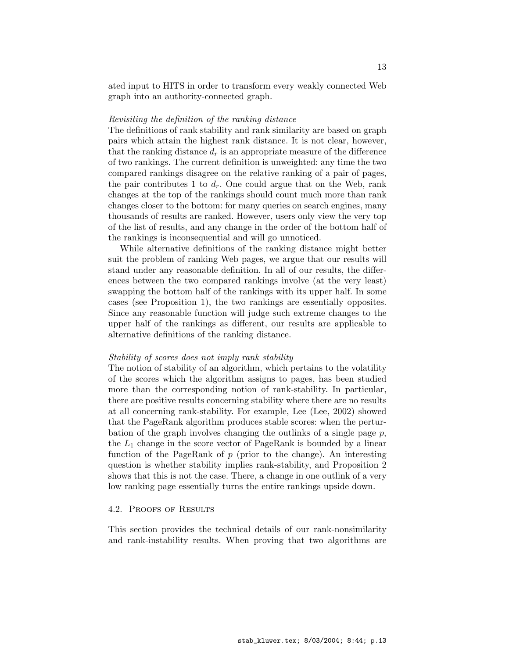ated input to HITS in order to transform every weakly connected Web graph into an authority-connected graph.

## Revisiting the definition of the ranking distance

The definitions of rank stability and rank similarity are based on graph pairs which attain the highest rank distance. It is not clear, however, that the ranking distance  $d_r$  is an appropriate measure of the difference of two rankings. The current definition is unweighted: any time the two compared rankings disagree on the relative ranking of a pair of pages, the pair contributes 1 to  $d_r$ . One could argue that on the Web, rank changes at the top of the rankings should count much more than rank changes closer to the bottom: for many queries on search engines, many thousands of results are ranked. However, users only view the very top of the list of results, and any change in the order of the bottom half of the rankings is inconsequential and will go unnoticed.

While alternative definitions of the ranking distance might better suit the problem of ranking Web pages, we argue that our results will stand under any reasonable definition. In all of our results, the differences between the two compared rankings involve (at the very least) swapping the bottom half of the rankings with its upper half. In some cases (see Proposition 1), the two rankings are essentially opposites. Since any reasonable function will judge such extreme changes to the upper half of the rankings as different, our results are applicable to alternative definitions of the ranking distance.

## Stability of scores does not imply rank stability

The notion of stability of an algorithm, which pertains to the volatility of the scores which the algorithm assigns to pages, has been studied more than the corresponding notion of rank-stability. In particular, there are positive results concerning stability where there are no results at all concerning rank-stability. For example, Lee (Lee, 2002) showed that the PageRank algorithm produces stable scores: when the perturbation of the graph involves changing the outlinks of a single page  $p$ , the  $L_1$  change in the score vector of PageRank is bounded by a linear function of the PageRank of  $p$  (prior to the change). An interesting question is whether stability implies rank-stability, and Proposition 2 shows that this is not the case. There, a change in one outlink of a very low ranking page essentially turns the entire rankings upside down.

## 4.2. PROOFS OF RESULTS

This section provides the technical details of our rank-nonsimilarity and rank-instability results. When proving that two algorithms are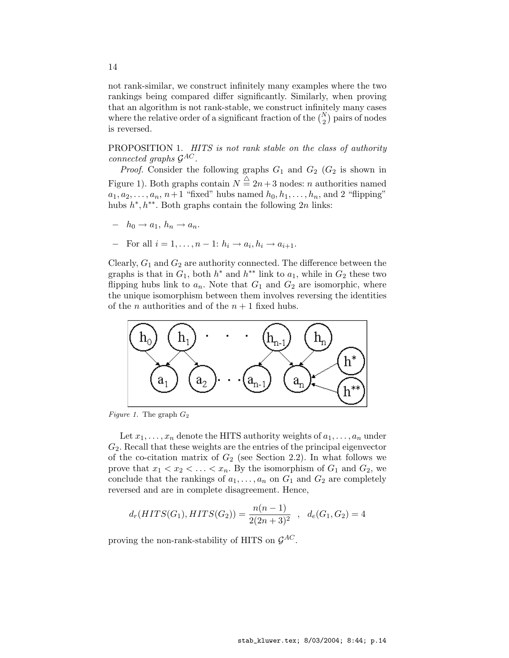not rank-similar, we construct infinitely many examples where the two rankings being compared differ significantly. Similarly, when proving that an algorithm is not rank-stable, we construct infinitely many cases where the relative order of a significant fraction of the  $\binom{N}{2}$ ¢ pairs of nodes is reversed.

PROPOSITION 1. HITS is not rank stable on the class of authority connected graphs  $\mathcal{G}^{AC}$ .

*Proof.* Consider the following graphs  $G_1$  and  $G_2$  ( $G_2$  is shown in Figure 1). Both graphs contain  $N \stackrel{\triangle}{=} 2n+3$  nodes: n authorities named  $a_1, a_2, \ldots, a_n, n+1$  "fixed" hubs named  $h_0, h_1, \ldots, h_n$ , and 2 "flipping" hubs  $h^*, h^{**}$ . Both graphs contain the following  $2n$  links:

- $h_0 \rightarrow a_1, h_n \rightarrow a_n.$
- $\text{For all } i = 1, \ldots, n-1: h_i \to a_i, h_i \to a_{i+1}.$

Clearly,  $G_1$  and  $G_2$  are authority connected. The difference between the graphs is that in  $G_1$ , both  $h^*$  and  $h^{**}$  link to  $a_1$ , while in  $G_2$  these two flipping hubs link to  $a_n$ . Note that  $G_1$  and  $G_2$  are isomorphic, where the unique isomorphism between them involves reversing the identities of the *n* authorities and of the  $n + 1$  fixed hubs.



Figure 1. The graph  $G_2$ 

Let  $x_1, \ldots, x_n$  denote the HITS authority weights of  $a_1, \ldots, a_n$  under  $G_2$ . Recall that these weights are the entries of the principal eigenvector of the co-citation matrix of  $G_2$  (see Section 2.2). In what follows we prove that  $x_1 < x_2 < \ldots < x_n$ . By the isomorphism of  $G_1$  and  $G_2$ , we conclude that the rankings of  $a_1, \ldots, a_n$  on  $G_1$  and  $G_2$  are completely reversed and are in complete disagreement. Hence,

$$
d_r(HITS(G_1), HITS(G_2)) = \frac{n(n-1)}{2(2n+3)^2} , d_e(G_1, G_2) = 4
$$

proving the non-rank-stability of HITS on  $\mathcal{G}^{AC}$ .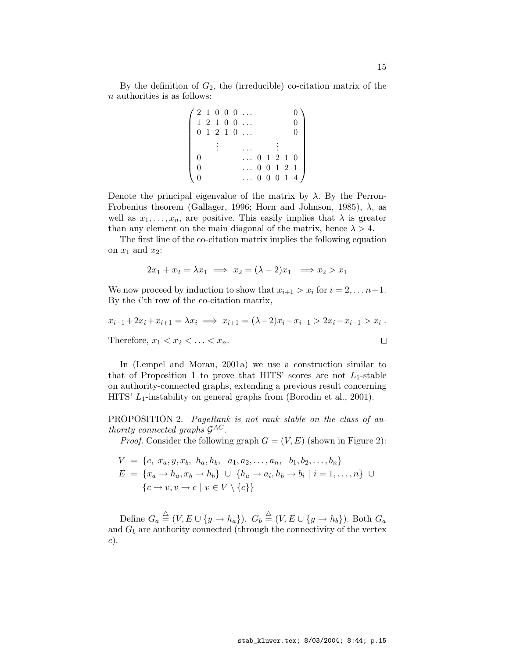By the definition of  $G_2$ , the (irreducible) co-citation matrix of the n authorities is as follows:

|  |  | '21000<br>$1\ 2\ 1\ 0\ 0\ \ldots$<br>0 1 2 1 0 |  |  | $\overline{0}$<br>$\overline{0}$<br>$\Omega$ |
|--|--|------------------------------------------------|--|--|----------------------------------------------|
|  |  |                                                |  |  |                                              |
|  |  |                                                |  |  | $\ldots$ 0 1 2 1 0                           |
|  |  |                                                |  |  | $\ldots$ 0 0 1 2 1                           |
|  |  |                                                |  |  | $\ldots$ 0 0 0 1 4 /                         |

Denote the principal eigenvalue of the matrix by  $\lambda$ . By the Perron-Frobenius theorem (Gallager, 1996; Horn and Johnson, 1985),  $\lambda$ , as well as  $x_1, \ldots, x_n$ , are positive. This easily implies that  $\lambda$  is greater than any element on the main diagonal of the matrix, hence  $\lambda > 4$ .

The first line of the co-citation matrix implies the following equation on  $x_1$  and  $x_2$ :

$$
2x_1 + x_2 = \lambda x_1 \implies x_2 = (\lambda - 2)x_1 \implies x_2 > x_1
$$

We now proceed by induction to show that  $x_{i+1} > x_i$  for  $i = 2, \ldots n-1$ . By the  $i$ 'th row of the co-citation matrix,

$$
x_{i-1} + 2x_i + x_{i+1} = \lambda x_i \implies x_{i+1} = (\lambda - 2)x_i - x_{i-1} > 2x_i - x_{i-1} > x_i.
$$
\nTherefore,  $x_1 < x_2 < \ldots < x_n$ .

\n□

In (Lempel and Moran, 2001a) we use a construction similar to that of Proposition 1 to prove that HITS' scores are not  $L_1$ -stable on authority-connected graphs, extending a previous result concerning HITS'  $L_1$ -instability on general graphs from (Borodin et al., 2001).

PROPOSITION 2. PageRank is not rank stable on the class of authority connected graphs  $\mathcal{G}^{AC}$ .

*Proof.* Consider the following graph  $G = (V, E)$  (shown in Figure 2):

$$
V = \{c, x_a, y, x_b, h_a, h_b, a_1, a_2, \dots, a_n, b_1, b_2, \dots, b_n\}
$$
  

$$
E = \{x_a \to h_a, x_b \to h_b\} \cup \{h_a \to a_i, h_b \to b_i \mid i = 1, \dots, n\} \cup \{c \to v, v \to c \mid v \in V \setminus \{c\}\}
$$

Define  $G_a \stackrel{\triangle}{=} (V, E \cup \{y \to h_a\}), G_b \stackrel{\triangle}{=} (V, E \cup \{y \to h_b\}).$  Both  $G_a$ and  $G_b$  are authority connected (through the connectivity of the vertex c).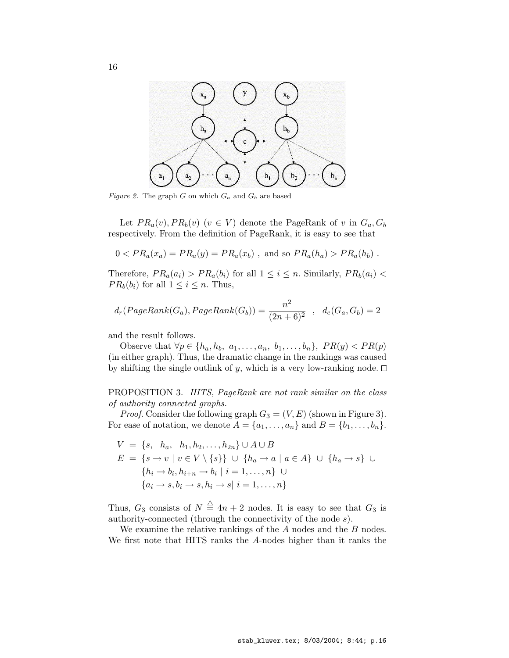

Figure 2. The graph G on which  $G_a$  and  $G_b$  are based

Let  $PR_a(v), PR_b(v)$   $(v \in V)$  denote the PageRank of v in  $G_a, G_b$ respectively. From the definition of PageRank, it is easy to see that

$$
0 < PR_a(x_a) = PR_a(y) = PR_a(x_b)
$$
, and so  $PR_a(h_a) > PR_a(h_b)$ .

Therefore,  $PR_a(a_i) > PR_a(b_i)$  for all  $1 \leq i \leq n$ . Similarly,  $PR_b(a_i) <$  $PR_b(b_i)$  for all  $1 \leq i \leq n$ . Thus,

$$
d_r(PageRank(G_a), PageRank(G_b)) = \frac{n^2}{(2n+6)^2} , d_e(G_a, G_b) = 2
$$

and the result follows.

Observe that  $\forall p \in \{h_a, h_b, a_1, \ldots, a_n, b_1, \ldots, b_n\}, PR(y) < PR(p)$ (in either graph). Thus, the dramatic change in the rankings was caused by shifting the single outlink of y, which is a very low-ranking node.  $\Box$ 

PROPOSITION 3. HITS, PageRank are not rank similar on the class of authority connected graphs.

*Proof.* Consider the following graph  $G_3 = (V, E)$  (shown in Figure 3). For ease of notation, we denote  $A = \{a_1, \ldots, a_n\}$  and  $B = \{b_1, \ldots, b_n\}.$ 

$$
V = \{s, h_a, h_1, h_2, \dots, h_{2n}\} \cup A \cup B
$$
  
\n
$$
E = \{s \to v \mid v \in V \setminus \{s\}\} \cup \{h_a \to a \mid a \in A\} \cup \{h_a \to s\} \cup
$$
  
\n
$$
\{h_i \to b_i, h_{i+n} \to b_i \mid i = 1, \dots, n\} \cup
$$
  
\n
$$
\{a_i \to s, b_i \to s, h_i \to s \mid i = 1, \dots, n\}
$$

Thus,  $G_3$  consists of  $N \stackrel{\triangle}{=} 4n + 2$  nodes. It is easy to see that  $G_3$  is authority-connected (through the connectivity of the node s).

We examine the relative rankings of the  $A$  nodes and the  $B$  nodes. We first note that HITS ranks the A-nodes higher than it ranks the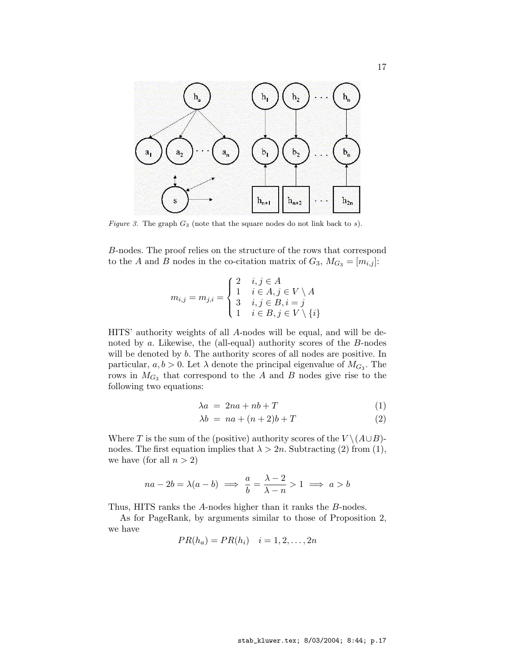

Figure 3. The graph  $G_3$  (note that the square nodes do not link back to s).

B-nodes. The proof relies on the structure of the rows that correspond to the A and B nodes in the co-citation matrix of  $G_3$ ,  $M_{G_3} = [m_{i,j}]$ :

$$
m_{i,j} = m_{j,i} = \begin{cases} 2 & i,j \in A \\ 1 & i \in A, j \in V \setminus A \\ 3 & i,j \in B, i = j \\ 1 & i \in B, j \in V \setminus \{i\} \end{cases}
$$

HITS' authority weights of all A-nodes will be equal, and will be denoted by a. Likewise, the (all-equal) authority scores of the B-nodes will be denoted by b. The authority scores of all nodes are positive. In particular,  $a, b > 0$ . Let  $\lambda$  denote the principal eigenvalue of  $M_{G_3}$ . The rows in  $M_{G_3}$  that correspond to the A and B nodes give rise to the following two equations:

$$
\lambda a = 2na + nb + T \tag{1}
$$

$$
\lambda b = na + (n+2)b + T \tag{2}
$$

Where T is the sum of the (positive) authority scores of the  $V \setminus (A \cup B)$ nodes. The first equation implies that  $\lambda > 2n$ . Subtracting (2) from (1), we have (for all  $n > 2$ )

$$
na - 2b = \lambda(a - b) \implies \frac{a}{b} = \frac{\lambda - 2}{\lambda - n} > 1 \implies a > b
$$

Thus, HITS ranks the A-nodes higher than it ranks the B-nodes.

As for PageRank, by arguments similar to those of Proposition 2, we have

$$
PR(h_a) = PR(h_i) \quad i = 1, 2, \dots, 2n
$$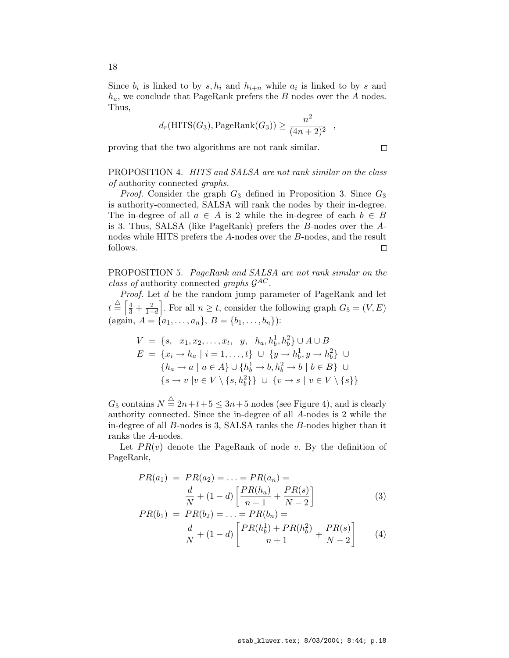Since  $b_i$  is linked to by  $s, h_i$  and  $h_{i+n}$  while  $a_i$  is linked to by s and  $h_a$ , we conclude that PageRank prefers the B nodes over the A nodes. Thus,

$$
d_r(\text{HITS}(G_3), \text{PageRank}(G_3)) \ge \frac{n^2}{(4n+2)^2} ,
$$

 $\Box$ 

proving that the two algorithms are not rank similar.

PROPOSITION 4. HITS and SALSA are not rank similar on the class of authority connected graphs.

*Proof.* Consider the graph  $G_3$  defined in Proposition 3. Since  $G_3$ is authority-connected, SALSA will rank the nodes by their in-degree. The in-degree of all  $a \in A$  is 2 while the in-degree of each  $b \in B$ is 3. Thus, SALSA (like PageRank) prefers the B-nodes over the Anodes while HITS prefers the A-nodes over the B-nodes, and the result follows.  $\Box$ 

PROPOSITION 5. PageRank and SALSA are not rank similar on the class of authority connected graphs  $\mathcal{G}^{AC}$ .

*Proof.* Let  $d$  be the random jump parameter of PageRank and let  $t\stackrel{\triangle}{=}\left[\frac{4}{3}+\frac{2}{1-\right]}$  $\frac{2}{1-d}$ . For all  $n \geq t$ , consider the following graph  $G_5 = (V, E)$ (again,  $A = \{a_1, \ldots, a_n\}, B = \{b_1, \ldots, b_n\}$ ):

$$
V = \{s, x_1, x_2, \dots, x_t, y, h_a, h_b^1, h_b^2\} \cup A \cup B
$$
  
\n
$$
E = \{x_i \to h_a \mid i = 1, \dots, t\} \cup \{y \to h_b^1, y \to h_b^2\} \cup
$$
  
\n
$$
\{h_a \to a \mid a \in A\} \cup \{h_b^1 \to b, h_b^2 \to b \mid b \in B\} \cup
$$
  
\n
$$
\{s \to v \mid v \in V \setminus \{s, h_b^2\}\} \cup \{v \to s \mid v \in V \setminus \{s\}\}
$$

 $G_5$  contains  $N \stackrel{\triangle}{=} 2n+t+5 \leq 3n+5$  nodes (see Figure 4), and is clearly authority connected. Since the in-degree of all A-nodes is 2 while the in-degree of all B-nodes is 3, SALSA ranks the B-nodes higher than it ranks the A-nodes.

Let  $PR(v)$  denote the PageRank of node v. By the definition of PageRank,

$$
PR(a_1) = PR(a_2) = \dots = PR(a_n) =
$$
  

$$
\frac{d}{N} + (1 - d) \left[ \frac{PR(h_a)}{n+1} + \frac{PR(s)}{N-2} \right]
$$
 (3)

$$
PR(b_1) = PR(b_2) = \dots = PR(b_n) =
$$
  

$$
\frac{d}{N} + (1 - d) \left[ \frac{PR(h_b^1) + PR(h_b^2)}{n+1} + \frac{PR(s)}{N-2} \right]
$$
 (4)

18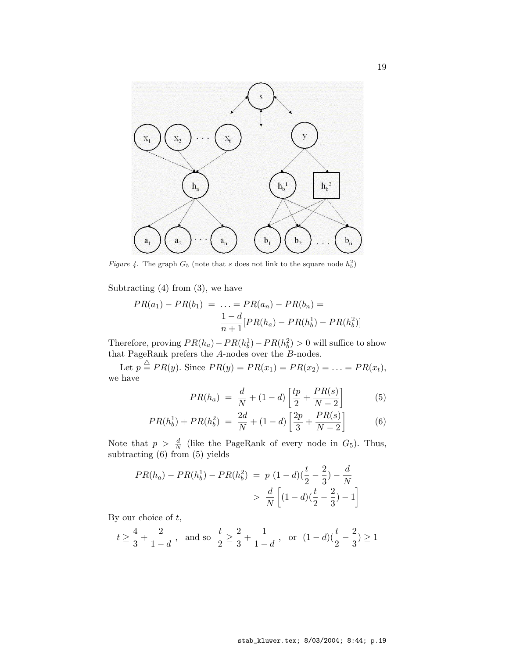

Figure 4. The graph  $G_5$  (note that s does not link to the square node  $h_b^2$ )

Subtracting  $(4)$  from  $(3)$ , we have

$$
PR(a_1) - PR(b_1) = \dots = PR(a_n) - PR(b_n) =
$$
  

$$
\frac{1 - d}{n + 1} [PR(h_a) - PR(h_b^1) - PR(h_b^2)]
$$

Therefore, proving  $PR(h_a) - PR(h_b^1) - PR(h_b^2) > 0$  will suffice to show that PageRank prefers the A-nodes over the B-nodes.

Let  $p \triangleq PR(y)$ . Since  $PR(y) = PR(x_1) = PR(x_2) = \ldots = PR(x_t)$ , we have

$$
PR(h_a) = \frac{d}{N} + (1 - d) \left[ \frac{tp}{2} + \frac{PR(s)}{N - 2} \right]
$$
 (5)

$$
PR(h_b^1) + PR(h_b^2) = \frac{2d}{N} + (1 - d) \left[ \frac{2p}{3} + \frac{PR(s)}{N - 2} \right] \tag{6}
$$

Note that  $p > \frac{d}{N}$  (like the PageRank of every node in  $G_5$ ). Thus, subtracting (6) from (5) yields

$$
PR(h_a) - PR(h_b^1) - PR(h_b^2) = p (1 - d) (\frac{t}{2} - \frac{2}{3}) - \frac{d}{N}
$$
  
> 
$$
\frac{d}{N} \left[ (1 - d) (\frac{t}{2} - \frac{2}{3}) - 1 \right]
$$

By our choice of  $t$ ,

$$
t \geq \frac{4}{3} + \frac{2}{1-d} \; , \; \text{ and so } \; \frac{t}{2} \geq \frac{2}{3} + \frac{1}{1-d} \; , \; \text{ or } \; (1-d)(\frac{t}{2} - \frac{2}{3}) \geq 1
$$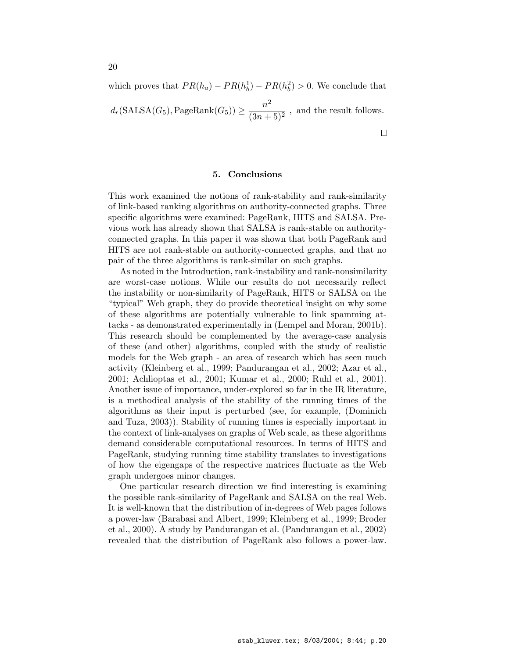which proves that  $PR(h_a) - PR(h_b^1) - PR(h_b^2) > 0$ . We conclude that  $d_r(\text{SALSA}(G_5), \text{PageRank}(G_5)) \ge \frac{n^2}{(2n+1)}$  $\frac{n}{(3n+5)^2}$ , and the result follows.  $\Box$ 

## 5. Conclusions

This work examined the notions of rank-stability and rank-similarity of link-based ranking algorithms on authority-connected graphs. Three specific algorithms were examined: PageRank, HITS and SALSA. Previous work has already shown that SALSA is rank-stable on authorityconnected graphs. In this paper it was shown that both PageRank and HITS are not rank-stable on authority-connected graphs, and that no pair of the three algorithms is rank-similar on such graphs.

As noted in the Introduction, rank-instability and rank-nonsimilarity are worst-case notions. While our results do not necessarily reflect the instability or non-similarity of PageRank, HITS or SALSA on the "typical" Web graph, they do provide theoretical insight on why some of these algorithms are potentially vulnerable to link spamming attacks - as demonstrated experimentally in (Lempel and Moran, 2001b). This research should be complemented by the average-case analysis of these (and other) algorithms, coupled with the study of realistic models for the Web graph - an area of research which has seen much activity (Kleinberg et al., 1999; Pandurangan et al., 2002; Azar et al., 2001; Achlioptas et al., 2001; Kumar et al., 2000; Ruhl et al., 2001). Another issue of importance, under-explored so far in the IR literature, is a methodical analysis of the stability of the running times of the algorithms as their input is perturbed (see, for example, (Dominich and Tuza, 2003)). Stability of running times is especially important in the context of link-analyses on graphs of Web scale, as these algorithms demand considerable computational resources. In terms of HITS and PageRank, studying running time stability translates to investigations of how the eigengaps of the respective matrices fluctuate as the Web graph undergoes minor changes.

One particular research direction we find interesting is examining the possible rank-similarity of PageRank and SALSA on the real Web. It is well-known that the distribution of in-degrees of Web pages follows a power-law (Barabasi and Albert, 1999; Kleinberg et al., 1999; Broder et al., 2000). A study by Pandurangan et al. (Pandurangan et al., 2002) revealed that the distribution of PageRank also follows a power-law.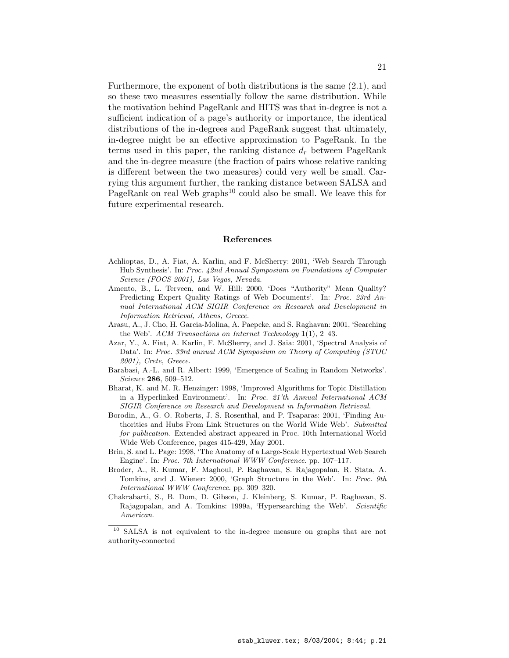Furthermore, the exponent of both distributions is the same (2.1), and so these two measures essentially follow the same distribution. While the motivation behind PageRank and HITS was that in-degree is not a sufficient indication of a page's authority or importance, the identical distributions of the in-degrees and PageRank suggest that ultimately, in-degree might be an effective approximation to PageRank. In the terms used in this paper, the ranking distance  $d_r$  between PageRank and the in-degree measure (the fraction of pairs whose relative ranking is different between the two measures) could very well be small. Carrying this argument further, the ranking distance between SALSA and PageRank on real Web graphs<sup>10</sup> could also be small. We leave this for future experimental research.

#### References

- Achlioptas, D., A. Fiat, A. Karlin, and F. McSherry: 2001, 'Web Search Through Hub Synthesis'. In: Proc. 42nd Annual Symposium on Foundations of Computer Science (FOCS 2001), Las Vegas, Nevada.
- Amento, B., L. Terveen, and W. Hill: 2000, 'Does "Authority" Mean Quality? Predicting Expert Quality Ratings of Web Documents'. In: Proc. 23rd Annual International ACM SIGIR Conference on Research and Development in Information Retrieval, Athens, Greece.
- Arasu, A., J. Cho, H. Garcia-Molina, A. Paepcke, and S. Raghavan: 2001, 'Searching the Web'. ACM Transactions on Internet Technology 1(1), 2–43.
- Azar, Y., A. Fiat, A. Karlin, F. McSherry, and J. Saia: 2001, 'Spectral Analysis of Data'. In: Proc. 33rd annual ACM Symposium on Theory of Computing (STOC 2001), Crete, Greece.
- Barabasi, A.-L. and R. Albert: 1999, 'Emergence of Scaling in Random Networks'. Science 286, 509–512.
- Bharat, K. and M. R. Henzinger: 1998, 'Improved Algorithms for Topic Distillation in a Hyperlinked Environment'. In: Proc. 21'th Annual International ACM SIGIR Conference on Research and Development in Information Retrieval.
- Borodin, A., G. O. Roberts, J. S. Rosenthal, and P. Tsaparas: 2001, 'Finding Authorities and Hubs From Link Structures on the World Wide Web'. Submitted for publication. Extended abstract appeared in Proc. 10th International World Wide Web Conference, pages 415-429, May 2001.
- Brin, S. and L. Page: 1998, 'The Anatomy of a Large-Scale Hypertextual Web Search Engine'. In: Proc. 7th International WWW Conference. pp. 107–117.
- Broder, A., R. Kumar, F. Maghoul, P. Raghavan, S. Rajagopalan, R. Stata, A. Tomkins, and J. Wiener: 2000, 'Graph Structure in the Web'. In: Proc. 9th International WWW Conference. pp. 309–320.
- Chakrabarti, S., B. Dom, D. Gibson, J. Kleinberg, S. Kumar, P. Raghavan, S. Rajagopalan, and A. Tomkins: 1999a, 'Hypersearching the Web'. Scientific American.

<sup>10</sup> SALSA is not equivalent to the in-degree measure on graphs that are not authority-connected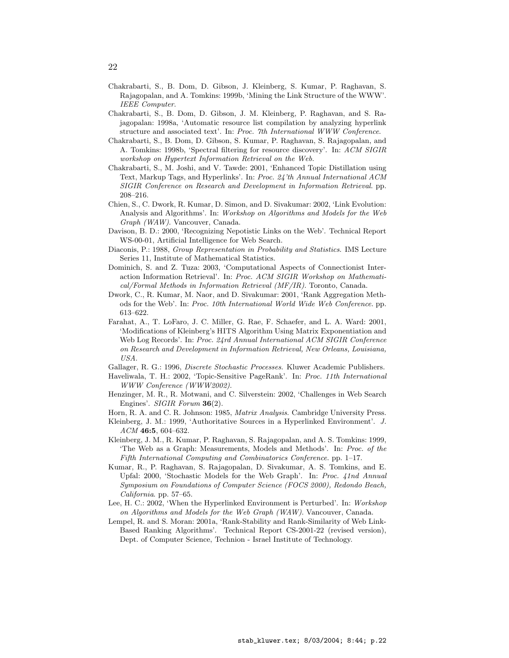- Chakrabarti, S., B. Dom, D. Gibson, J. Kleinberg, S. Kumar, P. Raghavan, S. Rajagopalan, and A. Tomkins: 1999b, 'Mining the Link Structure of the WWW'. IEEE Computer.
- Chakrabarti, S., B. Dom, D. Gibson, J. M. Kleinberg, P. Raghavan, and S. Rajagopalan: 1998a, 'Automatic resource list compilation by analyzing hyperlink structure and associated text'. In: Proc. 7th International WWW Conference.
- Chakrabarti, S., B. Dom, D. Gibson, S. Kumar, P. Raghavan, S. Rajagopalan, and A. Tomkins: 1998b, 'Spectral filtering for resource discovery'. In: ACM SIGIR workshop on Hypertext Information Retrieval on the Web.
- Chakrabarti, S., M. Joshi, and V. Tawde: 2001, 'Enhanced Topic Distillation using Text, Markup Tags, and Hyperlinks'. In: Proc. 24'th Annual International ACM SIGIR Conference on Research and Development in Information Retrieval. pp. 208–216.
- Chien, S., C. Dwork, R. Kumar, D. Simon, and D. Sivakumar: 2002, 'Link Evolution: Analysis and Algorithms'. In: Workshop on Algorithms and Models for the Web Graph (WAW). Vancouver, Canada.
- Davison, B. D.: 2000, 'Recognizing Nepotistic Links on the Web'. Technical Report WS-00-01, Artificial Intelligence for Web Search.
- Diaconis, P.: 1988, Group Representation in Probability and Statistics. IMS Lecture Series 11, Institute of Mathematical Statistics.
- Dominich, S. and Z. Tuza: 2003, 'Computational Aspects of Connectionist Interaction Information Retrieval'. In: Proc. ACM SIGIR Workshop on Mathematical/Formal Methods in Information Retrieval (MF/IR). Toronto, Canada.
- Dwork, C., R. Kumar, M. Naor, and D. Sivakumar: 2001, 'Rank Aggregation Methods for the Web'. In: Proc. 10th International World Wide Web Conference. pp. 613–622.
- Farahat, A., T. LoFaro, J. C. Miller, G. Rae, F. Schaefer, and L. A. Ward: 2001, 'Modifications of Kleinberg's HITS Algorithm Using Matrix Exponentiation and Web Log Records'. In: Proc. 24rd Annual International ACM SIGIR Conference on Research and Development in Information Retrieval, New Orleans, Louisiana, USA.
- Gallager, R. G.: 1996, Discrete Stochastic Processes. Kluwer Academic Publishers.
- Haveliwala, T. H.: 2002, 'Topic-Sensitive PageRank'. In: Proc. 11th International WWW Conference (WWW2002).
- Henzinger, M. R., R. Motwani, and C. Silverstein: 2002, 'Challenges in Web Search Engines'. SIGIR Forum **36**(2).
- Horn, R. A. and C. R. Johnson: 1985, Matrix Analysis. Cambridge University Press.
- Kleinberg, J. M.: 1999, 'Authoritative Sources in a Hyperlinked Environment'. J.  $ACM$  46:5, 604-632.
- Kleinberg, J. M., R. Kumar, P. Raghavan, S. Rajagopalan, and A. S. Tomkins: 1999, 'The Web as a Graph: Measurements, Models and Methods'. In: Proc. of the Fifth International Computing and Combinatorics Conference. pp. 1–17.
- Kumar, R., P. Raghavan, S. Rajagopalan, D. Sivakumar, A. S. Tomkins, and E. Upfal: 2000, 'Stochastic Models for the Web Graph'. In: Proc. 41nd Annual Symposium on Foundations of Computer Science (FOCS 2000), Redondo Beach, California. pp. 57–65.
- Lee, H. C.: 2002, 'When the Hyperlinked Environment is Perturbed'. In: Workshop on Algorithms and Models for the Web Graph (WAW). Vancouver, Canada.
- Lempel, R. and S. Moran: 2001a, 'Rank-Stability and Rank-Similarity of Web Link-Based Ranking Algorithms'. Technical Report CS-2001-22 (revised version), Dept. of Computer Science, Technion - Israel Institute of Technology.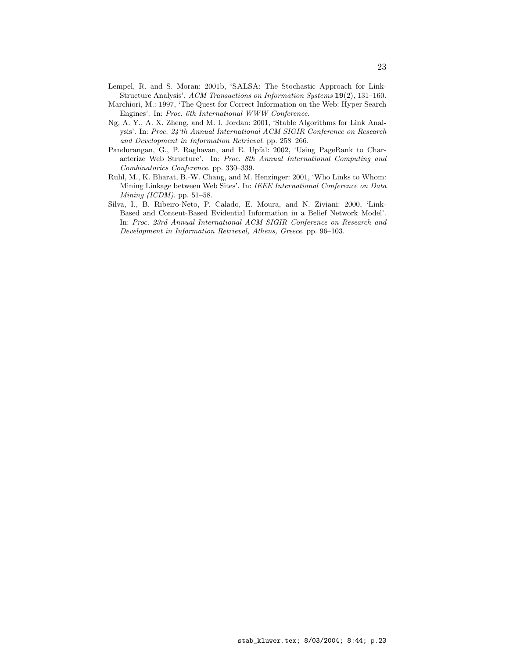- Lempel, R. and S. Moran: 2001b, 'SALSA: The Stochastic Approach for Link-Structure Analysis'. ACM Transactions on Information Systems 19(2), 131–160.
- Marchiori, M.: 1997, 'The Quest for Correct Information on the Web: Hyper Search Engines'. In: Proc. 6th International WWW Conference.
- Ng, A. Y., A. X. Zheng, and M. I. Jordan: 2001, 'Stable Algorithms for Link Analysis'. In: Proc. 24'th Annual International ACM SIGIR Conference on Research and Development in Information Retrieval. pp. 258–266.
- Pandurangan, G., P. Raghavan, and E. Upfal: 2002, 'Using PageRank to Characterize Web Structure'. In: Proc. 8th Annual International Computing and Combinatorics Conference. pp. 330–339.
- Ruhl, M., K. Bharat, B.-W. Chang, and M. Henzinger: 2001, 'Who Links to Whom: Mining Linkage between Web Sites'. In: IEEE International Conference on Data  $Mining (ICDM)$ . pp. 51–58.
- Silva, I., B. Ribeiro-Neto, P. Calado, E. Moura, and N. Ziviani: 2000, 'Link-Based and Content-Based Evidential Information in a Belief Network Model'. In: Proc. 23rd Annual International ACM SIGIR Conference on Research and Development in Information Retrieval, Athens, Greece. pp. 96–103.